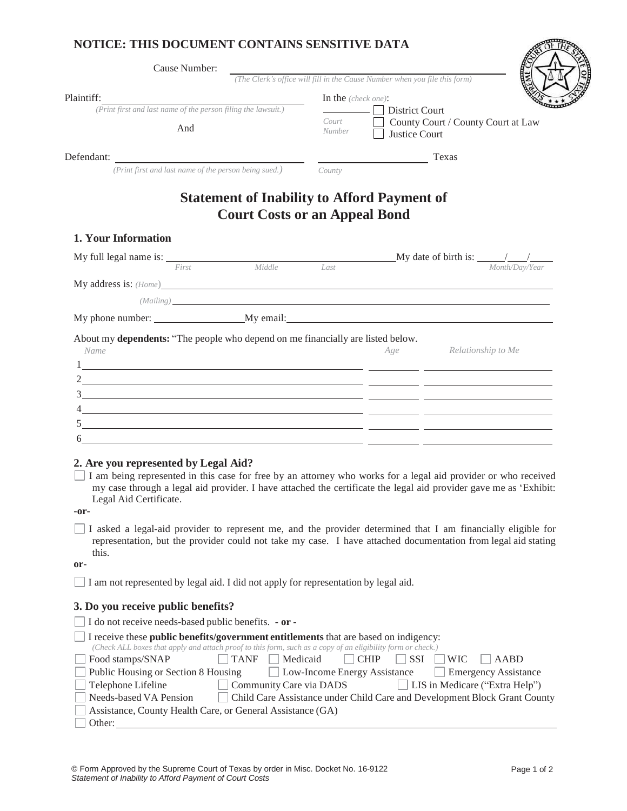## **NOTICE: THIS DOCUMENT CONTAINS SENSITIVE DATA**

| Cause Number:                                                                                                                                                                                                                 |                                      |                                           |                                                                            |                |
|-------------------------------------------------------------------------------------------------------------------------------------------------------------------------------------------------------------------------------|--------------------------------------|-------------------------------------------|----------------------------------------------------------------------------|----------------|
|                                                                                                                                                                                                                               |                                      |                                           | (The Clerk's office will fill in the Cause Number when you file this form) |                |
| Plaintiff:<br>(Print first and last name of the person filing the lawsuit.)<br>And                                                                                                                                            |                                      | In the $(check one)$ :<br>Court<br>Number | District Court<br>County Court / County Court at Law<br>Justice Court      |                |
| Defendant:                                                                                                                                                                                                                    |                                      |                                           | Texas                                                                      |                |
| (Print first and last name of the person being sued.)                                                                                                                                                                         |                                      | County                                    |                                                                            |                |
| 1. Your Information                                                                                                                                                                                                           | <b>Court Costs or an Appeal Bond</b> |                                           | <b>Statement of Inability to Afford Payment of</b>                         |                |
| My full legal name is:                                                                                                                                                                                                        |                                      |                                           | My date of birth is: $\frac{1}{\sqrt{1-\frac{1}{2}}}\$                     |                |
| First                                                                                                                                                                                                                         | Middle                               | Last                                      |                                                                            | Month/Day/Year |
| My address is: (Home)                                                                                                                                                                                                         |                                      |                                           |                                                                            |                |
| (Mailing) and the contract of the contract of the contract of the contract of the contract of the contract of the contract of the contract of the contract of the contract of the contract of the contract of the contract of |                                      |                                           |                                                                            |                |
| My phone number:                                                                                                                                                                                                              | My email:                            |                                           |                                                                            |                |

About my **dependents:** "The people who depend on me financially are listed below.

| Name | Age | Relationship to Me |
|------|-----|--------------------|
|      |     |                    |
| ∍    |     |                    |
|      |     |                    |
|      |     |                    |
|      |     |                    |
| h    |     |                    |

## **2. Are you represented by Legal Aid?**

I am being represented in this case for free by an attorney who works for a legal aid provider or who received my case through a legal aid provider. I have attached the certificate the legal aid provider gave me as 'Exhibit: Legal Aid Certificate.

**-or-**

I asked a legal-aid provider to represent me, and the provider determined that I am financially eligible for representation, but the provider could not take my case. I have attached documentation from legal aid stating this.

**or-**

I am not represented by legal aid. I did not apply for representation by legal aid.

## **3. Do you receive public benefits?**

|        | $\Box$ I do not receive needs-based public benefits. $\cdot$ or $\cdot$                                     |              |                                                                           |              |                         |                                |  |
|--------|-------------------------------------------------------------------------------------------------------------|--------------|---------------------------------------------------------------------------|--------------|-------------------------|--------------------------------|--|
|        | $\Box$ I receive these <b>public benefits/government entitlements</b> that are based on indigency:          |              |                                                                           |              |                         |                                |  |
|        | (Check ALL boxes that apply and attach proof to this form, such as a copy of an eligibility form or check.) |              |                                                                           |              |                         |                                |  |
|        | Food stamps/SNAP                                                                                            | $\vert$ TANF | $\Box$ Medicaid                                                           | $\vert$ CHIP | $\vert$ SSI $\vert$ WIC | AABD                           |  |
|        | Public Housing or Section 8 Housing                                                                         |              | <b>Low-Income Energy Assistance</b>                                       |              |                         | Emergency Assistance           |  |
|        | Telephone Lifeline                                                                                          |              | Community Care via DADS                                                   |              |                         | LIS in Medicare ("Extra Help") |  |
|        | Needs-based VA Pension                                                                                      |              | Child Care Assistance under Child Care and Development Block Grant County |              |                         |                                |  |
|        | Assistance, County Health Care, or General Assistance (GA)                                                  |              |                                                                           |              |                         |                                |  |
| Other: |                                                                                                             |              |                                                                           |              |                         |                                |  |

**REPORT**